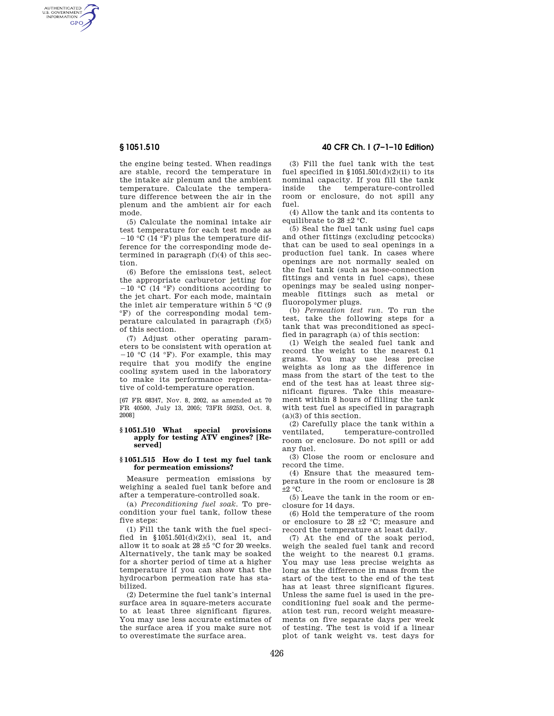AUTHENTICATED<br>U.S. GOVERNMENT<br>INFORMATION **GPO** 

> the engine being tested. When readings are stable, record the temperature in the intake air plenum and the ambient temperature. Calculate the temperature difference between the air in the plenum and the ambient air for each mode.

> (5) Calculate the nominal intake air test temperature for each test mode as  $-10$  °C (14 °F) plus the temperature difference for the corresponding mode determined in paragraph  $(f)(4)$  of this section.

> (6) Before the emissions test, select the appropriate carburetor jetting for  $-10$  °C (14 °F) conditions according to the jet chart. For each mode, maintain the inlet air temperature within  $5^{\circ}$ C (9) °F) of the corresponding modal temperature calculated in paragraph  $(f)(5)$ of this section.

> (7) Adjust other operating parameters to be consistent with operation at  $-10$  °C (14 °F). For example, this may require that you modify the engine cooling system used in the laboratory to make its performance representative of cold-temperature operation.

> [67 FR 68347, Nov. 8, 2002, as amended at 70 FR 40500, July 13, 2005; 73FR 59253, Oct. 8, 2008]

### **§ 1051.510 What special provisions apply for testing ATV engines? [Reserved]**

## **§ 1051.515 How do I test my fuel tank for permeation emissions?**

Measure permeation emissions by weighing a sealed fuel tank before and after a temperature-controlled soak.

(a) *Preconditioning fuel soak.* To precondition your fuel tank, follow these five steps:

(1) Fill the tank with the fuel specified in  $$1051.501(d)(2)(i)$ , seal it, and allow it to soak at 28 ±5 °C for 20 weeks. Alternatively, the tank may be soaked for a shorter period of time at a higher temperature if you can show that the hydrocarbon permeation rate has stabilized.

(2) Determine the fuel tank's internal surface area in square-meters accurate to at least three significant figures. You may use less accurate estimates of the surface area if you make sure not to overestimate the surface area.

## **§ 1051.510 40 CFR Ch. I (7–1–10 Edition)**

(3) Fill the fuel tank with the test fuel specified in  $$1051.501(d)(2)(ii)$  to its nominal capacity. If you fill the tank<br>inside the temperature-controlled inside the temperature-controlled room or enclosure, do not spill any fuel.

(4) Allow the tank and its contents to equilibrate to  $28 \pm 2$  °C.

(5) Seal the fuel tank using fuel caps and other fittings (excluding petcocks) that can be used to seal openings in a production fuel tank. In cases where openings are not normally sealed on the fuel tank (such as hose-connection fittings and vents in fuel caps), these openings may be sealed using nonpermeable fittings such as metal or fluoropolymer plugs.

(b) *Permeation test run.* To run the test, take the following steps for a tank that was preconditioned as specified in paragraph (a) of this section:

(1) Weigh the sealed fuel tank and record the weight to the nearest 0.1 grams. You may use less precise weights as long as the difference in mass from the start of the test to the end of the test has at least three significant figures. Take this measurement within 8 hours of filling the tank with test fuel as specified in paragraph (a)(3) of this section.

(2) Carefully place the tank within a ventilated, temperature-controlled temperature-controlled room or enclosure. Do not spill or add any fuel.

(3) Close the room or enclosure and record the time.

(4) Ensure that the measured temperature in the room or enclosure is 28  $+2$  °C.

(5) Leave the tank in the room or enclosure for 14 days.

(6) Hold the temperature of the room or enclosure to 28  $\pm$ 2 °C; measure and record the temperature at least daily.

(7) At the end of the soak period, weigh the sealed fuel tank and record the weight to the nearest 0.1 grams. You may use less precise weights as long as the difference in mass from the start of the test to the end of the test has at least three significant figures. Unless the same fuel is used in the preconditioning fuel soak and the permeation test run, record weight measurements on five separate days per week of testing. The test is void if a linear plot of tank weight vs. test days for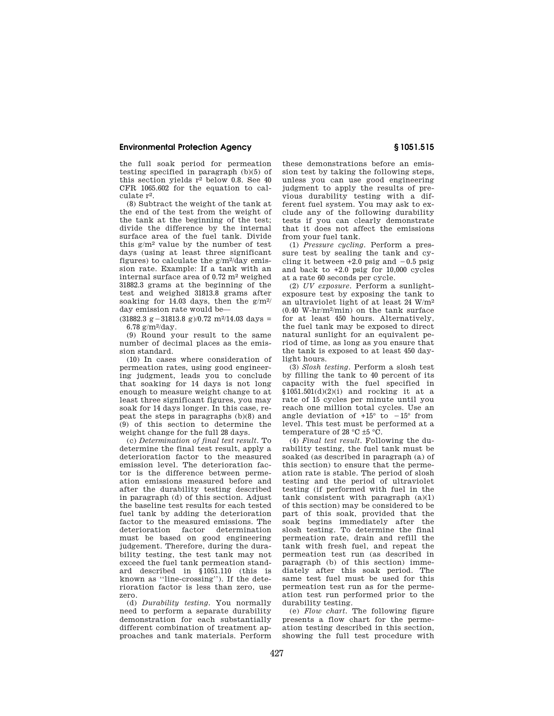## **Environmental Protection Agency § 1051.515**

the full soak period for permeation testing specified in paragraph (b)(5) of this section yields  $r^2$  below 0.8. See 40 CFR 1065.602 for the equation to calculate r2.

(8) Subtract the weight of the tank at the end of the test from the weight of the tank at the beginning of the test; divide the difference by the internal surface area of the fuel tank. Divide this  $g/m^2$  value by the number of test days (using at least three significant figures) to calculate the  $g/m^2$ /day emission rate. Example: If a tank with an internal surface area of 0.72 m2 weighed 31882.3 grams at the beginning of the test and weighed 31813.8 grams after soaking for 14.03 days, then the  $g/m^2$ day emission rate would be—

 $(31882.3 \text{ g} - 31813.8 \text{ g})/0.72 \text{ m}^2/14.03 \text{ days} =$ 6.78  $g/m^2$ /day.

(9) Round your result to the same number of decimal places as the emission standard.

(10) In cases where consideration of permeation rates, using good engineering judgment, leads you to conclude that soaking for 14 days is not long enough to measure weight change to at least three significant figures, you may soak for 14 days longer. In this case, repeat the steps in paragraphs (b)(8) and (9) of this section to determine the weight change for the full 28 days.

(c) *Determination of final test result.* To determine the final test result, apply a deterioration factor to the measured emission level. The deterioration factor is the difference between permeation emissions measured before and after the durability testing described in paragraph (d) of this section. Adjust the baseline test results for each tested fuel tank by adding the deterioration factor to the measured emissions. The deterioration factor determination must be based on good engineering judgement. Therefore, during the durability testing, the test tank may not exceed the fuel tank permeation standard described in §1051.110 (this is known as ''line-crossing''). If the deterioration factor is less than zero, use zero.

(d) *Durability testing.* You normally need to perform a separate durability demonstration for each substantially different combination of treatment approaches and tank materials. Perform

these demonstrations before an emission test by taking the following steps, unless you can use good engineering judgment to apply the results of previous durability testing with a different fuel system. You may ask to exclude any of the following durability tests if you can clearly demonstrate that it does not affect the emissions from your fuel tank.

(1) *Pressure cycling.* Perform a pressure test by sealing the tank and cycling it between  $+2.0$  psig and  $-0.5$  psig and back to +2.0 psig for 10,000 cycles at a rate 60 seconds per cycle.

(2) *UV exposure.* Perform a sunlightexposure test by exposing the tank to an ultraviolet light of at least 24 W/m2 (0.40 W-hr/m2/min) on the tank surface for at least 450 hours. Alternatively, the fuel tank may be exposed to direct natural sunlight for an equivalent period of time, as long as you ensure that the tank is exposed to at least 450 daylight hours.

(3) *Slosh testing.* Perform a slosh test by filling the tank to 40 percent of its capacity with the fuel specified in  $$1051.501(d)(2)(i)$  and rocking it at a rate of 15 cycles per minute until you reach one million total cycles. Use an angle deviation of  $+15^{\circ}$  to  $-15^{\circ}$  from level. This test must be performed at a temperature of 28  $\mathrm{^{\circ}C}$  ±5  $\mathrm{^{\circ}C}$ .

(4) *Final test result.* Following the durability testing, the fuel tank must be soaked (as described in paragraph (a) of this section) to ensure that the permeation rate is stable. The period of slosh testing and the period of ultraviolet testing (if performed with fuel in the  $tanh$  consistent with paragraph  $(a)(1)$ of this section) may be considered to be part of this soak, provided that the soak begins immediately after the slosh testing. To determine the final permeation rate, drain and refill the tank with fresh fuel, and repeat the permeation test run (as described in paragraph (b) of this section) immediately after this soak period. The same test fuel must be used for this permeation test run as for the permeation test run performed prior to the durability testing.

(e) *Flow chart.* The following figure presents a flow chart for the permeation testing described in this section, showing the full test procedure with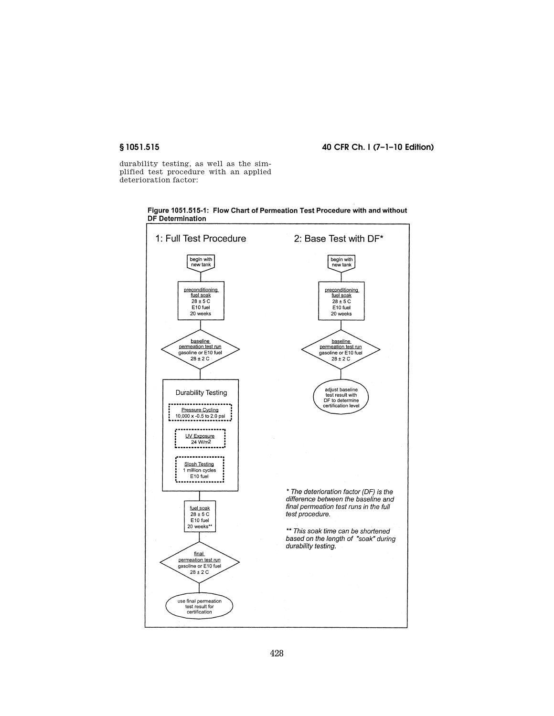# **§ 1051.515 40 CFR Ch. I (7–1–10 Edition)**

durability testing, as well as the simplified test procedure with an applied deterioration factor:



Figure 1051.515-1: Flow Chart of Permeation Test Procedure with and without DF Determination